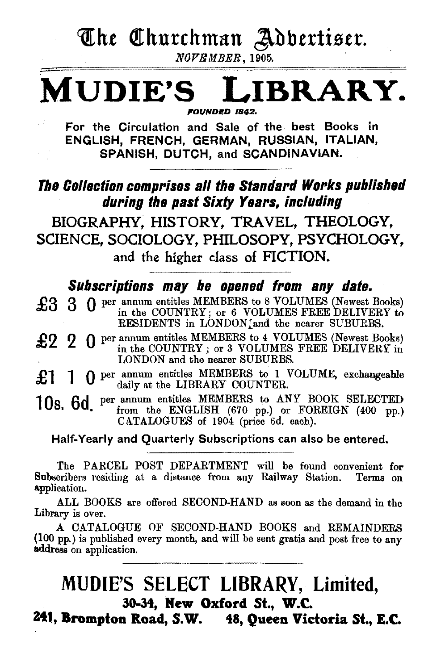The Churchman Adbertiser.

NOVB MBER, 1905.

## **MUDIE'S LIBRARY.** FOUNDED 1842.

For the Circulation and Sale of the best Books in ENGLISH, FRENCH, GERMAN, RUSSIAN, ITALIAN, SPANISH, DUTCH, and SCANDINAVIAN.

## The Collection comprises all the Standard Works published during the past Sixty Years. including

BIOGRAPHY, HISTORY, TRAVEL, THEOLOGY, SCIENCE, SOCIOLOGY, PHILOSOPY, PSYCHOLOGY, and the higher class of FICTION.

## Subscriptions may be opened from any date.

£3 3 0 per annum entitles MEMBERS to 8 VOLUMES (Newest Books) in the COUNTRY; or 6 VOLUMES FREE DELIVERY to RESIDENTS in LONDON; and the nearer SUBURBS.

- £2 2 0 per annum entitles MEMBERS to 4 VOLUMES (Newest Books) in the COUNTRY; or 3 VOLUMES FREE DELIVERY in LONDON and the nearer SUBURBS.
- £1 1 0 per annum entitles MEMBERS to 1 VOLUME, exchangeable daily at the LIBRARY COUNTER.

10s. 6d per annum entitles MEMBERS to ANY BOOK SELECTED from the ENGLISH (670 pp.) or FOREIGN (400 pp.) CATALOGUES of 1904 (price 6d. each).

### Half-Yearly and Quarterly Subscriptions can also be entered.

The PARCEL POST DEPARTMENT will be found convenient for Subscribers residing at a distance from any Railway Station. application.

ALL BOOKS are offered SECOND-HAND as soon as the demand in the Library is over.

A CATALOGUE OF SECOND-HAND BOOKS and REMAINDERS (100 pp.) is published every month, and will be sent gratis and post free to any address on application.

## MUDIE'S SELECT LIBRARY, Limited, 3o-34, Hew Oxford St., W.C.

2t1, Brompton Road, S.W. 48, Queen Victoria St., E.C.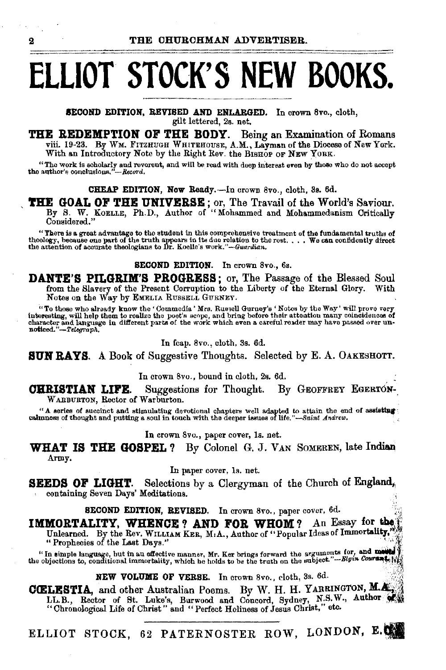# **ELLIOT STOCK'S NEW BOOKS.**

SECOND EDITION, REVISED AND ENLARGED. In crown 8vo., cloth, gilt lettered, 2s. net.

**THE REDEMPTION OF THE BODY.** Being an Examination of Romans viii. 19-23. By WM. FITZHUGH WHITEHOUSE, A.M., Layman of the Diocese of New York. With an Introductory Note by the Right Rev. the BISHOP OF NEW YORK.

"The work is scholarly and reverent, and will be read with deep interest even by those who do not accept the author's conclusions."--Record.

CHEAP EDITION, Now Ready.-In crown 8vo., cloth, 3s. 6d.

THE GOAL OF THE UNIVERSE; or, The Travail of the World's Saviour.<br>By S. W. Koelle, Ph.D., Author of "Mohammed and Mohammedanism Critically Considered."

"There is a great advantage to the student in this comprehensive treatment of the fundamental truths of there as great survaturge to the truth appears in its due relation to the rest . . . We can confidently direct<br>theologians to Dr. Koelle's *work."-Guardian.* . . . We can confidently direct<br>the attention of accurate theolo

SECOND EDITION. In crown 8vo., 6s.

**DANTE'S PILGRIM'S PROGRESS** ; or, The Passage of the Blessed Soul from the Slavery of the Present Corruption to the Liberty of the Eternal Glory. With Notes on the Way by EMELIA RUSSELL GURNEY.

"To those who already know the' Oommedia' Mrs. Rus;ell Gurney's 'Notes by the Way' will prove very interesting, will help them to realize the poet's seope, and bring before their attention many coincidences of character and language in different parts of the work which even a careful reader may have passed over un-<br>noticed."—*Telegraph*,

In fcap. 8vo., cloth, 3s. 6d.

**SUN RAYS.** A Book of Suggestive Thoughts. Selected by E. A. OAKESHOTT.

In crown Svo., bound in cloth. 2s. 6d.

**CHRISTIAN LIFE.** Suggestions for Thought. By GEOFFREY EGERTON-W ARBURTON, Rector of Warburton.

"A series of succinct and stimulating devotional chapters well adapted to attain the end of assisting calmness of thought and putting a soul in touch with the deeper issues of life."-*-Saint Andrew*.

In crown 8vo., paper cover, ls. net.

**WHAT IS THE GOSPEL?** By Colonel G. J. VAN SOMEREN, late Indian Army.

In paper cover, ls. net.

**SEEDS OF LIGHT.** Selections by a Clergyman of the Church of England, containing Seven Days' Meditations.

SECOND EDITION, REVISED. In crown 8vo., paper cover, 6d.

**IMMORTALITY, WHENCE? AND FOR WHOM?** An Essay for the Prophecies of the Rev. WILLIAM KER, M:A., Author of "Popular Ideas of Immortality,"

In simple language, but in an effective manner, Mr. Ker brings forward the arguments for, and military  $\frac{1}{2}$ ; the objections to, conditional immortality, which he holds to be the truth on the subject."-Blgtn Courtes i

NEW VOLUME OF VERSE. In crown 8vo., cloth, 3s.  $6d$ .

CCELESTIA, and other Australian Poems. By W. H. H. YARRINGTON, M.A., LL.B., Rector of St. Luke's, Burwood and Concord, Sydney, N.S.W., Author of St. Chronological Life of Christ" and "Perfect Holiness of Jesus Christ," etc

ELLIOT STOCK, 62 PATERNOSTER ROW, LONDON, E.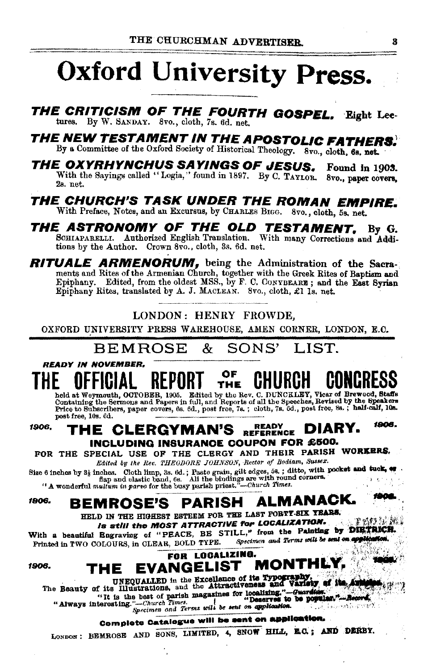# Oxford University Press.

THE CRITICISM OF THE FOURTH GOSPEL. Eight Leetures. By W. SANDAY. 8vo., cloth, 7s. 6d. net.

**THE NEW TESTAMENT IN THE APOSTOLIC FATHERS.** By a Committee of the Oxford Society of Historical Theology. 8vo., cloth, 6s, net.

THE OXYRHYNCHUS SAYINGS OF JESUS. Found in 1903. With the Savings called "Logia," found in 1897. By C. TAYLOR. 8vo., paper covers. 2s. net.

THE CHURCH'S TASK UNDER THE ROMAN EMPIRE. With Preface, Notes, and an Excursus, by CHARLES BIGG. 8vo., cloth. 5a net.

THE ASTRONOMY OF THE OLD TESTAMENT, By G.<br>SOHLAPARELLI. Authorized English Translation. With many Corrections and Additions by the Author. Crown 8vo., cloth, 3s. 6d. net.

RITUALE ARMENORUM, being the Administration of the Sacraments and Rites of the Armenian Church, together with the Greek Rites of Baptism and Epiphany. Edited, from the oldest MSS., by F. C. CONYBEARE; and the East Syrian Epiphany Rites, translated by A. J. MACLEAN. 8vo., cloth,

### LONDON: HENRY FROWDE.

OXFORD UNIVERSITY PRESS WAREHOUSE, AMEN CORNER, LONDON, E.C.

#### **BEMBOSE** & SONS' IST

**READY IN NOVEMBER.** 

#### OF CHURCH REPORT **THE**

held at Weynmouth, OCTOBBR, 1905. Edited by the Rev. C. DUNCKLEY, Vicar of Brewood, Staffs<br>Containing the Sermons and Papers in full, and Reports of all the Speeches, Revised by the Speakers<br>Price to Subscribers, paper cov post free. 10s. 6d.

#### $1906.$ **READY** 1906. THE CLERGYMAN'S READY DIARY. INCLUDING INSURANCE COUPON FOR £500.

FOR THE SPECIAL USE OF THE CLERGY AND THEIR PARISH WORKERS. Edited by the Rev. THEODORE JOHNSON, Rector of Bodiam, Sussex.

Size 6 inches by  $3\frac{1}{2}$  inches. Cloth limp, 3s. the variously axis of section of the pooket and tuck, etc.<br>
flap and elastic band, 6s. All the bindings are with round corners.<br>
"A wonderful multum in parte for the bus

#### **ALMANACK.** 1906. **BEMROSE'S PARISH**

HELD IN THE HIGHEST ESTEEM FOR THE LAST FORTY-SIX YEARS. Is still the MOST ATTRACTIVE for LOCALIZATION.

With a beautiful Engraving of "PEACE, BE STILL," from the Painting by DIRTRICH. Specimen and Terms will be sent on applic Printed in TWO COLOURS, in CLEAR, BOLD TYPE.

1906.

#### FOR LOCALIZING. **MONTHLY. EVANGELIST** ТНЕ

UNEQUALLED in the Excellence of its Typography, The Beauty of its Illustrations, and the Attractiveness and Variety of the Arm

The summary of partial magazines for the same weakening." The same of partition of partition of partition of the same of the same of the same of the same of the same of the same of the same of the same of the same of the s

"Always interesting."

## Complete Catalogue will be sent on application.

LONDON: BEMROSE AND SONS, LIMITED, 4, SNOW HILL, E.C.; AND DERBY.

ren li ki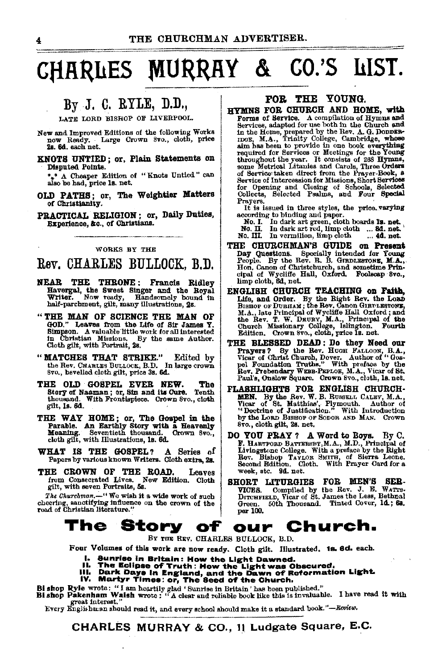## CHARLES MURRAY & CO.'S LIST.

## By J. C. RYLE, D.D.,

LATE LORD BISHOP OF LIVERPOOL.

- New and Improved Editions of the following Works now Ready. Large Crown 8vo., cloth, price
- KNOTS UNTIED: or. Plain Statements on Disputed Points.

\* A Cheaper Edition of "Knots Untied" can also be had, price 1s. net.

- OLD PATHS; or, The Weightier Matters of Christianity.
- PRACTICAL RELIGION; or, Daily Duties, Experience, &c., of Christians.

### WORKS BY THE

### Rev. CHARLES BULLOCK. B.D.

- NEAR THE THRONE: Francis Ridley Havergal, the Sweet Singer and the Royal Writer. Now ready, Handsomely bound in half-parchment, gilt, many illustrations, 2s.
- "THE MAN OF SCIENCE THE MAN OF GOD." Leaves from the Life of Sir James Y. GOD. Leaves from the line of the same of the Simpson. A valuable little work for all interested<br>in Christian Missions. By the same Author. Cloth gilt, with Portrait, 2s.
- "MATCHES THAT STRIKE." Edited by the Rev. CHARLES BULLOCK, B.D. In large crown 8vo., bevelled cloth gilt, price 3s. 6d.
- THE OLD GOSPEL EVER NEW. The Story of Naaman; or, Sin and its Cure. Tenth thousand. With Frontispiece. Crown 8vo., cloth gilt, Is. 6d.
- THE WAY HOME: or, The Gospel in the Parable. An Earthly Story with a Heavenly Meaning. Seventieth thousand. Crown 8vo., cloth gilt, with Illustrations, 1s. 6d.
- WHAT IS THE GOSPEL? A Series of Papers by various known Writers. Cloth extra, 2s.
- THE CROWN OF THE ROAD. Leaves from Consecrated Lives. New Edition. Cloth gilt, with seven Portraits, 5s.

The Churchman,-"We wish it a wide work of such cheering, sanctifying influence on the crown of the road of Christian literature.'

### FOR THE YOUNG.

HYMNS FOR CHURCH AND HOME. with Forms of Service. A compilation of Hymns and Services, adapted for use both in the Church and because a marked by the Rev. A. G. DODER-<br>more, M.A., Trinity College, Cambridge, whose<br>aim has been to provide in one book evarything<br>required for Services or Meetings for the Young required for curvices or meetings for the found throughout the year. It consists of 288 Hymne, some Metrical Litanies and Carols, Three Orders of Service taken direct from the Prayer-Book, a or Service lakes untercomment for the Trayer-Down, a Service for Opening and Closing of Schools, Selected Collects, Selected Collects, Selected Psalms, and Four Special Pravers.

It is issued in three styles, the price, varying according to binding and paper.

scooling to busing any paper.<br>No. I. In dark art green, cloth boards 1s. net.<br>No. II. In dark art red, limp cloth ... 8d. net.<br>No. III. In vermilion, limp cloth ... 4d. net.

- THE CHURCHMAN'S GUIDE on Present new outcommand of the Review of Towns Day Questions. Specially intended for Towns People. By the Rev. R. B. Granne Principal of Newton of Christelaurch, and sometime Principal of Wycliffe Hall, Oxford. Foolscap Svo., limp cloth, 6d, net.
- EWGLISH CHURCH TEACHING on Faith,<br>Life, and Order. By the Right Rev. the Lond Bismor or Dunnak ; the Rev. Canon Gluenoswork,<br>M.A., late Principal of Wyclife Hall Oxford; and<br>the Rev. T. W. DRURY, M.A., Principal of the Rev
- THE BLESSED DEAD: Do they Need our FIRENCES BREAK DESCRIPTION PRODUCT PROPERTY OF THE PRODUCT SUPPLY ON THE REAL ONLY THE REAL ON THE REAL ON THE REAL PROPERTY PROPERTY THAN A VICE THE REAL PROPERTY PROPERTY OF MAIL PROPERTY OF MAIL PROPERTY.
- FLASHLIGHTS FOR ENGLISH CHURCH-MEN. By the Rev. W. B. RUSSELL CALEY, M.A., Vicar of St. Matthias, Plymouth. Author of Systems "Doctrine of Justification." With Introduction by the LORD BISHOP OF SODOR AND MAN. Crown 8vo., cloth gilt, 2s. net.
- DO YOU PRAY ? A Word to Boys. By C. F. HARTFORD BATTERSPY, M.A., M.D., Principal of<br>Livingstone College. With a preface by the Right Rev. Bishop TayLOR SMITH, of Sierra Leone, Second Edition, Cloth. With Prayer Card for a week, etc. 9d. net.
- SHORT LITURGIES FOR MEN'S SERVICES. Compiled by the Rev. J. E. WATTELD, Vicar of St. James the Less, Bethnal Green. 60th Thousand. Tinted Cover, 1d.; 6a. per 100.

#### The Story of Church. our

BY THE REV. CHARLES BULLOCK, B.D.

Four Volumes of this work are now ready. Cloth gilt. Illustrated. 18. 6d. each.

- 
- 
- I. Sunrise in Britain: How the Light Dawned.<br>III. The Eclipse of Truth: How the Light was Obscured.<br>III. Dark Days in England, and the Dawn of Reformation Light.<br>IV. Martyr Times: or, The Seed of the Church.
	-
- 
- Bi shop Ryle wrote: "I am heartily glad ' Sunrise in Britain' has been published."<br>Bi shop Pakenham Waish wrote: "A clear and reliable book like this is invaluable. I have read it with reat interest.'

Every Englishman should read it, and every school should make it a standard book."-Review.

CHARLES MURRAY & CO., 11 Ludgate Square, E.C.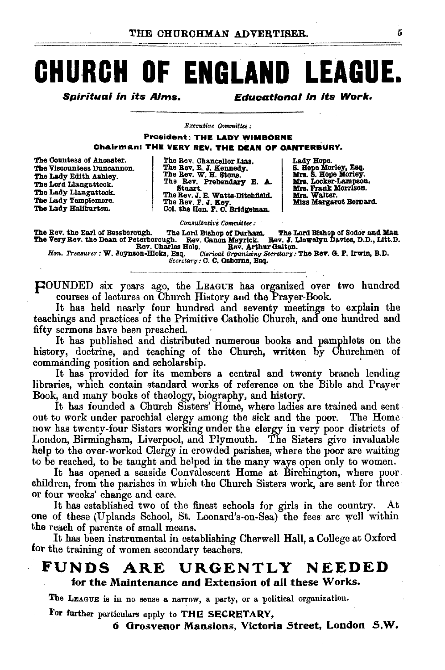# CHURCH OF ENGLAND LEAGUE.

Spirituai in its Aims.

**Educational in its Work.** 

Executive Committee:

**President: THE LADY WIMBORNE** 

Chairman: THE VERY REV. THE DEAN OF CANTERBURY.

The Countess of Ancaster. The Viscountess Duncannon. The Lady Edith Ashley. The Lord Llangattock. The Lady Llangattock. The Lady Tamplemore. The Lady Haliburton.

The Rev. Chancellor Lias.<br>The Rev. E. J. Kennedy.<br>The Rev. W. H. Stone. The Rev. Prebendary E. A. Stuart The Rev. J. E. Watts-Ditchfield. The Rev. F. J. Key.<br>Col. the Hon. F. C. Bridgeman.

Lady Hope.<br>S. Hope Morley, Esq.<br>Mrs. S. Hope Morley.<br>Mrs. Looker-Lampson. Mrs. Frank Morrison.<br>Mrs. Walter. Miss Margaret Bernard.

Consultative Committee:

The Rev. the Earl of Bessborough. The Lord Bishop of Durham. The Lord Bishop of Sodor and Man<br>The Very Rev. the Dean of Peterborough. Rev. Canon Meyrick. Bav. J. Liewelyn Davies, D.D., Litt.D.<br>Rev. Charles Role. Bav. Chris

Secretary: C. C. Osborne, Esq.

FOUNDED six years ago, the LEAGUE has organized over two hundred courses of lectures on Church History and the Prayer-Book.

It has held nearly four hundred and seventy meetings to explain the teachings and practices of the Primitive Catholic Church, and one hundred and fifty sermons have been preached.

It has published and distributed numerous books and pamphlets on the history, doctrine, and teaching of the Church, written by Churchmen of commanding position and scholarship.

It has provided for its members a central and twenty branch lending libraries, which contain standard works of reference on the Bible and Prayer Book, and many books of theology, biography, and history.

It has founded a Church Sisters' Home, where ladies are trained and sent out to work under parochial clergy among the sick and the poor. The Home now has twenty-four Sisters working under the clergy in very poor districts of London, Birmingham, Liverpool, and Plymouth. The Sisters give invaluable help to the over-worked Clergy in crowded parishes, where the poor are waiting to be reached, to be taught and helped in the many ways open only to women.

It has opened a seaside Convalescent Home at Birchington, where poor children, from the parishes in which the Church Sisters work, are sent for three or four weeks' change and care.

It has established two of the finest schools for girls in the country. At one of these (Uplands School, St. Leonard's-on-Sea) the fees are well within the reach of parents of small means.

It has been instrumental in establishing Cherwell Hall, a College at Oxford for the training of women secondary teachers.

#### FUNDS ARE URGENTLY NEEDED for the Maintenance and Extension of all these Works.

The LEAGUE is in no sense a narrow, a party, or a political organization.

For further particulars apply to THE SECRETARY,

6 Grosvenor Mansions, Victoria Street, London S.W.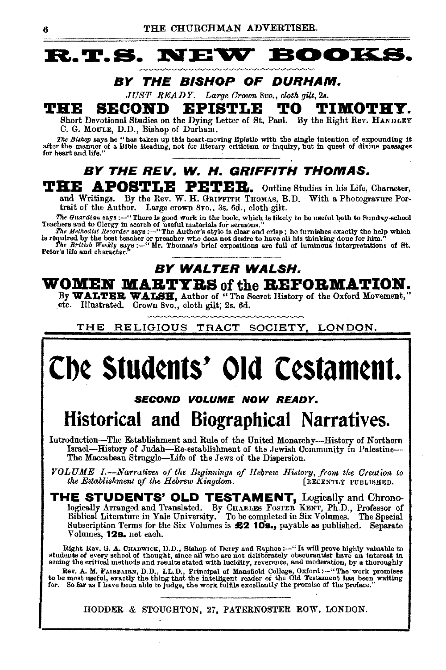## **R.T.S. NEW BOOKS**

### **BY THE BISHOP OF DURHAM.**

*JUST READY. Large Crown 8vo., cloth gilt,* 28.

## **THE SECOND EPISTLE TO TIMOTHY.**<br>
Short Devotional Studies on the Dying Letter of St. Paul. By the Right Rev. HANDLEY

C. G. MoULE, D.D., Bishop of Durham.

The Bishop says he "has taken up this heart-moving Epistle with the single intention of expounding it<br>after the manner of a Bible Reading, not for literary criticism or inquiry, but in quest of divine passages<br>for heart an

### **BY THE REV. W. H. GRIFFITH THOMAS. THE APOSTLE PETEB.** Outline Studies in his Life, Character,

and Writings. By the Rev. W. H. GRIFFITH THOMAS, B.D. With a Photogravure Portrait of the Author. Large crown 8vo., 3s. 6d., cloth gilt.

The Guardian says :--"There is good work in the book, which is likely to be useful both to Sunday-school<br>Teachers and to Clergy in search of useful materials for sarmons."<br>The Meihodisi Recorder says :--"The Author's style

is required by the best teacher or preacher who does not desire to have all his thinking done for him."<br>The British Weekly says :--"Mr. Thomas's brief expositions are full of luminous interpretations of St. Peter's life and character.

### **BY WALTER WALSH.**

**WOMEN MARTYRS of the REFORMATION.** 

By WALTER WALSH, Author of "The Secret History of the Oxford Movement," .etc. Illustrated. Orown 8vo., cloth gilt; 2s. 6d.

THE RELIGIOUS TRACT SOCIETY, LONDON.

# **Cb¢ Stud¢nts' Old C¢stam¢nt.**

### **SECOND VOLUME NOW READY.**

## **Historical and Biographical Narratives.**

Introduction-The Establishment and Rule of the United Monarchy-History of Northern Israel-History of Judah-Re-establishment of the Jewish Community in Palestine-The Maccabean Struggle-Life of the Jews of the Dispersion.

*VOLUME I.*—Narratives of the Beginnings of Hebrew History, from the Creation to the Establishment of the Hebrew Kingdom. [RECENTLY PUBLISHED. *the Establishment of the Hebrew Kingdom.* 

**THE STUDENTS' OLD TESTAMENT,** Logically and Chrono-logically Arranged and Translated. By CHARLES FosTER KENT, Ph.D., Professor of Biblical Literature in Yale University. To be completed in Six Volumes. The Special Subscription Terms for the Six Volumes is £2 10s., payable as published. Separate Volumes, **12s.** net each.

Right Rev. G. A. CHADWICK, D.D., Bishop of Derry and Raphoe :---" It will prove highly valuable to students of every school of thought, since all who are not deliberately obscurantist have an interest in seeing the critica

Rev. A. M. FAIRBAIRN, D.D., LL.D., Principal of Mansfield College, Oxford :--"The work promises<br>to be most useful, exactly the thing that the intelligent reader of the Old Testament has been waiting for. So far as I have been able to judge, the work fulfils excellently the promise of the preface."

HODDER & STOUGHTON, 27, PATERNOSTER ROW, LONDON.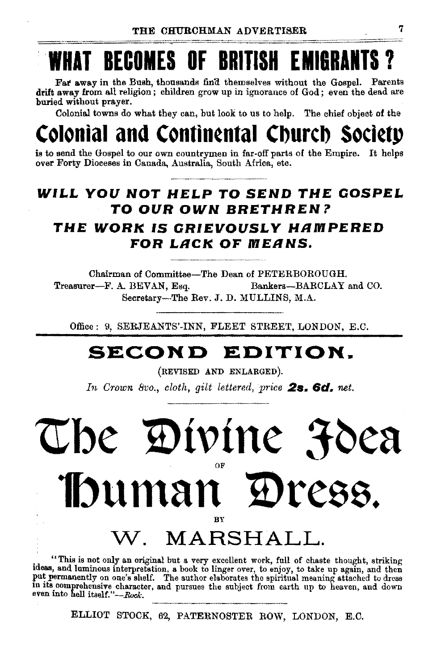# T BECOMES OF BRITISH EM

Far away in the Bush, thousands find themselves without the Gospel. Parents drift away from all religion ; children grow up in ignorance of God ; even the dead are buried without prayer.

Colonial towns do what they can, but look to us to help. The chief object of the

## **Continental Church Society**

is to send the Gospel to our own countrymen in far-off parts of the Empire. It helps over Forty Dioceses in Canada, Australia, South Africa, etc,

## **WI.L.L YOU NOT HE.LP TO SEND THE OOSPE.L TO OUR OWN BRETHREN?**

### **THE WORK IS ORIEVOUS.LY HRMPERED FOR .LRCK OF MERNS.**

Chairman of Committee-The Dean of PETERBOROUGH. Treasurer-F. A. BEVAN, Esq. Bankers-BARCLAY and CO. Secretary-The Rev. J.D. MULLINS, M.A.

Office: 9, SERJEANTS'-INN, FLEET STREET, LONDON, E.C.

## **SECOND EDITION.**

(REVISED AND ENLARGED).

*In Crown 8vo., cloth, gilt lettered, price* 2s. 6d. *net.* 

## The Divine <del>J</del>oea OF **lbuman IDress.**  BY **MARSHALL.**

. "This is not only an original but a very excellent work, full of chaste thought, striking tdeas, and luminous interpretation, a book to linger over, to enjoy, to take up again, and then In its comprehensive character, and pursues the subject from earth up to heaven, and down even into hell itself."-Rock.

ELLIOT STOCK, 62, PATERNOSTER ROW, LONDON, E.C.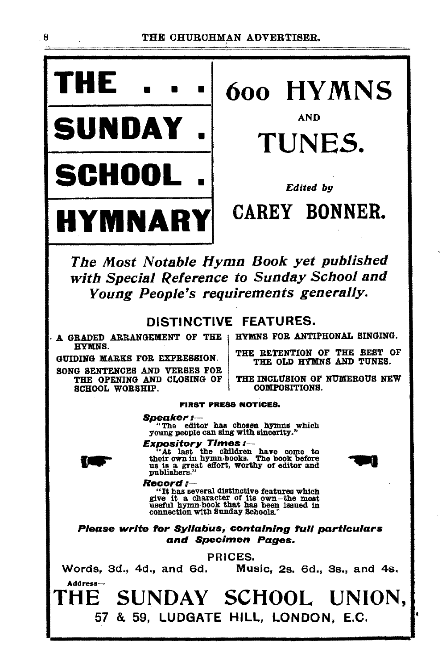

# **THE** • • • 6oo HYMNS

• TUNES.

The Most Notable ffymn Book yet published with Special Reference to Sunday School and Young People's requirements generally.

### DISTINCTIVE FEATURES.

· A GRADED ARRANGEMENT OF THE HYMNS.

SONG SENTENCES AND VERSES FOR THE OPENING AND CLOSING OF SCHOOL WORSHIP.

HYMNS FOR ANTIPHONAL SINGING.

THE RETENTION OF THE BEST OF GUIDING MARKS FOR EXPRESSION. THE OLD HYMNS AND TUNES.

THE INCLUSION OF NUMEROUS NEW COMPOSITIONS.

#### FIRST PRESS NOTICES,

**Speaker:**---<br>"The editor has chosen hymns which<br>young people can sing with sincerity."



**Expository Times:**-<br>
"At last the children have come to their own in hymn-books. The book before us is a great effort, worthy of editor and publishers."



Reco*rd :*---<br>"It has several distinctive features which give it a character of its own-the most useful hymn-book that has been issued in connection with Sunday Schools."

Please write for Syllabus, containing full particulars and Specimen Pages.

PRICES.

Words, 3d., 4d., and 6d. Music, 2s. 6d., 3s., and 4s. Address-

THE SUNDAY SCHOOL UNION, 57 & 59, LUDGATE HILL, LONDON, E.C.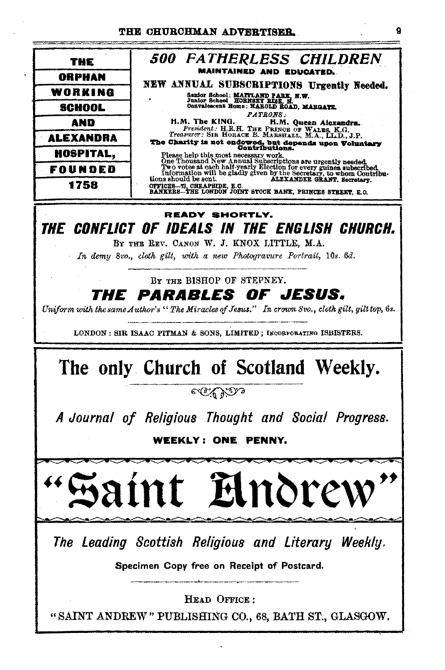| THE              | <b>500 FATHERLESS CHILDREN</b>                                                                                                                                                                                                                                                                                                                                                                                                                                                                                                                                                                                                                                                                                                               |
|------------------|----------------------------------------------------------------------------------------------------------------------------------------------------------------------------------------------------------------------------------------------------------------------------------------------------------------------------------------------------------------------------------------------------------------------------------------------------------------------------------------------------------------------------------------------------------------------------------------------------------------------------------------------------------------------------------------------------------------------------------------------|
| ORPHAN           | <b>MAINTAINED AND EDUCATED.</b>                                                                                                                                                                                                                                                                                                                                                                                                                                                                                                                                                                                                                                                                                                              |
| WORKING          | NEW ANNUAL SUBSCRIPTIONS Urgently Needed.<br>Sanior School: MAITLAND PARK, N.W.<br><b>PATRONS:</b><br>H.M. The KING.<br>H.M. Queen Alexandra.<br>President: H.R.H. THE PRINCE OF WALES, K.G.<br>Treasurer: SIR HORACE B. MARSHALL, M.A., LL.D., J.P.<br>The Charity is not endowed, but depends upon Voluntary<br>Contributions.<br>Please help this most necessary work.<br>Charly not a first Annual Subscriptions are urgently needed.<br>Two votes at each half-vearly Election for every guines subscribed.<br>Information will be gladly given by the Secretary, to whom Coutribu-<br>tions should be sent.<br>ALEXANDER GRANT, Secretary,<br>OPPICES-73, CHEAPSIDE, E.C.<br>BANKERS-THE LONDON JOINT STOCK BANK, PRINCES STREET, E.O. |
| SCHOOL           |                                                                                                                                                                                                                                                                                                                                                                                                                                                                                                                                                                                                                                                                                                                                              |
| AND              |                                                                                                                                                                                                                                                                                                                                                                                                                                                                                                                                                                                                                                                                                                                                              |
| <b>ALEXANDRA</b> |                                                                                                                                                                                                                                                                                                                                                                                                                                                                                                                                                                                                                                                                                                                                              |
| <b>HOSPITAL,</b> |                                                                                                                                                                                                                                                                                                                                                                                                                                                                                                                                                                                                                                                                                                                                              |
| FOUNDED          |                                                                                                                                                                                                                                                                                                                                                                                                                                                                                                                                                                                                                                                                                                                                              |
| 1758             |                                                                                                                                                                                                                                                                                                                                                                                                                                                                                                                                                                                                                                                                                                                                              |

THE CONFLICT OF IDEALS IN THE ENGLISH CHURCH.

BY THE REV. CANON W. J. KNOX LITTLE, M.A.

In demy 8vo., cloth gilt, with a new Photogravure Portrait, 10s. 6d.

BY THE BISHOP OF STEPNEY.

#### *THE* **PARABLES OF JESUS.**

Uniform with the same Author's "The Miracles of Jesus," In crown 8vo., cloth gilt, gilt top, 6s.

LONDON: SIR ISAAC PITMAN & SONS, LIMITED; INCORPORATING ISBISTERS.

## The only Church of Scotland Weekly.

CO 63.90

A Journal of Religious Thought and Social Progress.

**WEEKLY: ONE PENNY.** 

Andre nt I

The Leading Scottish Religious and Literary Weekly.

Specimen Copy free on Receipt of Postcard.

HEAD OFFICE:

"SAINT ANDREW" PUBLISHING CO., 68, BATH ST., GLASGOW.

9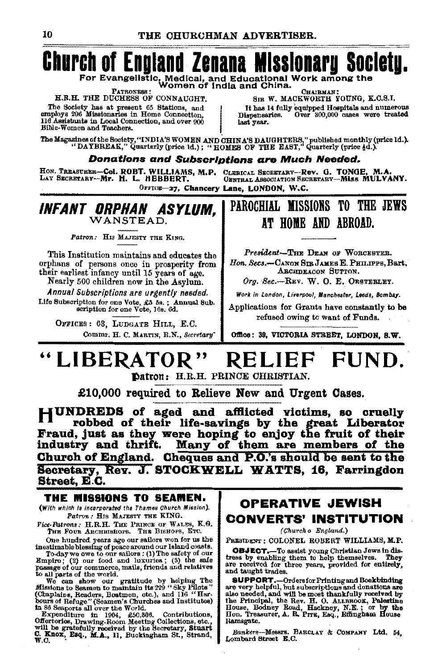## **Church of England Zenana Missionary Society.**

For Evangelistic, Medical, and Educational Work among the<br>Women of India and China.

**PATRONESS** H.R.H. THE DUCHESS OF CONNAUGHT.

The Society has at present 65 Stations, and employs 206 Missionaries in Home Connection. 116 Assistants in Local Connection, and over 900 Bible-Women and Teachers.

CHAIRMAN SIR W. MACKWORTH YOUNG, K.C.S.I. It has 14 fully equipped Hospitals and numerous Dispensaries. Over 300,000 cases were treated last year.

The Magazines of the Society, "INDIA'S WOMEN AND CHINA'S DAUGHTERS," published monthly (price ld.).<br>"DAYBREAK," Quarterly (price ld.): "HOMES OF THE EAST," Quarterly (price §d.).

#### Donations and Subscriptions are Much Needed.

HON. TREASURER-COL ROBT. WILLIAMS, M.P. CLERICAL SECRETARY-Rev. G. TONGE, M.A.<br>LAY SECRETARY--Mr. H. L. HEBBERT. CENTRAL ASSOCIATION SECRETARY--MISS MULVANY. OFFICE-27. Chancery Lane. LONDON, W.C.

INFANT ORPHAN ASYLUM. WANSTEAD

Patron: HIS MAJESTY THE KING.

This Institution maintains and educates the orphans of persons once in prosperity from their earliest infancy until 15 years of age.

Nearly 500 children now in the Asylum. Annual Subscriptions are urgently needed.

Life Subscription for one Vote, £5 5s.; Annual Sub.<br>scription for one Vote, 10s. 6d.

OFFICES: 63. LUDGATE HILL, E.C. Commr. H. C. MARTIN, R.N., Secretary"

## PAROCHIAL MISSIONS TO THE JEWS AT HOME AND ABROAD.

President-THE DEAN OF WORCESTER. Hon. Secs.-CANON SIR JAMES E. PHILIPPS. Bart. ARCHDEACON SUTTON.

Org. Sec.-REV. W. O. E. OESTERLEY.

Work in London, Liverpool, Manchester, Leeds, Bombay.

Applications for Grants have constantly to be refused owing to want of Funds.

Office: 39, VICTORIA STREET, LONDON, S.W.

#### " LIBERATOR " FUND. R ELIEF

Datron: H.R.H. PRINCE CHRISTIAN.

£10,000 required to Relieve New and Urgent Cases.

HUNDREDS of aged and afflicted victims, so cruelly robbed of their life-savings by the great Liberator Fraud, just as they were hoping to enjoy the fruit of their industry and thrift. Many of them are members of the Church of England. Cheques and P.O.'s should be sent to the Secretary, Rev. J. STOCKWELL WATTS, 16, Farringdon Street, E.C.

### THE MISSIONS TO SEAMEN.

(With which is incorporated the Thames Church Mission). Patron: HIS MAJESTY THE KING.

Vice-Patrons: H.R.H. THE PRINCE OF WALES, K.G. THE FOUR ARCHBISHOPS. THE BISHOPS, ETC.

One hundred years ago our sailors won for us the inestimable blessing of peace around our Island coasts.<br>To-day we owe to our sailors : (1) The safety of our Empire; (2) our food and luxuries; (3) the safe

passage of our commerce, mails, friends and relatives to all parts of the world.

to all parts of the world.<br>We can show our gratitude by helping The We can show our gratitude by Nelpiss<br>Sissions to Seamen to maintain its 229 "Sky Pilots"<br>(Chaplains, Readers, Bostmon, etc.), and 116 "Har-<br>Cours of Refu

### **OPERATIVE JEWISH CONVERTS' INSTITUTION**

(Church o England.)

PRESIDENT : COLONEL ROBERT WILLIAMS, M.P.

**OBJECT.**-To assist young Christian Jews in distress by enabling them to help themselves. They are received for three years, provided for entirely, and taught trades.

**SUPPORT.**-Ordersfor Printing and Bookbinding<br>are very helpful, but subscriptions and donations are also needed, and will be most thankfully received by the Principal, the Rev. H. O. ALLEBOOK, Pelestine<br>House, Bodney Road, Hackney, N.E.; or by the<br>Hon. Treasurer, A. R. Prrs, Esq., Effingham House Ramsgate.

Bankers-Messrs. BARCLAY & COMPANY Ltd. 54. Lombard Street E.C.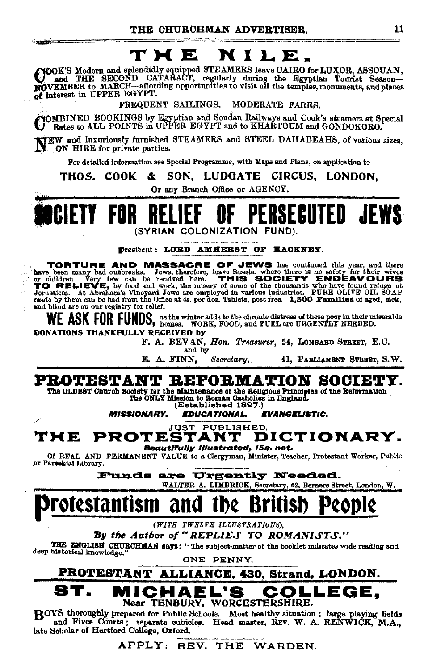## THE NILE.

COOK'S Modern and splendidly equipped STEAMERS leave CAIRO for LUXOR, ASSOUAN,<br>and THE SECOND CATARACT, regularly during the Egyptian Tourist Season-<br>NOVEMBER to MARCH—affording opportunities to visit all the temples, monu of interest in UPPER EGYPT.

FREQUENT SAILINGS. MODERATE FARES.

YOMBINED BOOKINGS by Egyptian and Soudan Railways and Cook's steamers at Special.<br>J Rates to ALL POINTS in UPPER EGYPT and to KHARTOUM and GONDOKORO.

NEW and luxuriously furnished STEAMERS and STEEL DAHABEAHS, of various sizes, ON HIRE for private parties.

For detailed information see Special Programme, with Maps and Plans, on application to

SON. LUDGATE CIRCUS, LONDON. THOS. COOK å.

Or any Branch Office or AGENCY.



**President: LORD AMEERST OF HACKNEY.** 

**TORTURE AND MASSACRE OF JEWS** has continued this year, and there have been many bad outbreaks. Jews, therefore, leave Russia, where there is no safety for their wives or children. Very few can be recoived here. THIS SOCI and blind are on our registry for relief.

WE ASK FOR FUNDS, as the winter adds to the chronic distress of these poor in their miserable (WE ASK FOR FUNDS, homes. WORK, FOOD, and FUEL are URGENTLY NEEDED.

DONATIONS THANKFULLY RECEIVED by F. A. BEVAN, Hon. Treasurer, 54, LOMBARD STREET, E.C.

E. A. FINN.

**MISSIONARY.** 

and by

Secretary. 41, PARLIAMENT STREET, S.W.

## PROTESTANT REFORMATION SOCIETY.

The OLDEST Church Society for the Maintenance of the Religious Principles of the Reformation The ONLY Mission to Roman Catholics in England.

(Established 1827.) **EDUCATIONAL.** 

 $\sim$ 

**Constitution** 

**EVANGELISTIC.** 

JUST PUBLISHED. **PROTESTANT** DICTIONARY. TME

Beautifully Illustrated, 15s. net.

Of REAL AND PERMANENT VALUE to a Clergyman, Minister, Teacher, Protestant Worker, Public or Parcellal Library.

Funds are Urgently Needed.

WALTER A. LIMBRICK, Secretary, 62, Berners Street, London, W.

## Protestantism and the Bri

(WITH TWELVE ILLUSTRATIONS),

By the Author of "REPLIES TO ROMANISTS."

THE ENGLISH CHURCHMAN says: "The subject-matter of the booklet indicates wide reading and deep historical knowledge.

ONE PENNY.

PROTESTANT ALLIANCE, 430, Strand, LONDON. ICHAEL'S DLLEGE. С

### Near TENBURY, WORCESTERSHIRE.

BOYS thoroughly prepared for Public Schools. Most healthy situation; large playing fields and Fives Courts; separate cubicles. Head master, REV. W. A. RENWICK, M.A., late Scholar of Hertford College, Oxford.

APPLY: REV. THE WARDEN.